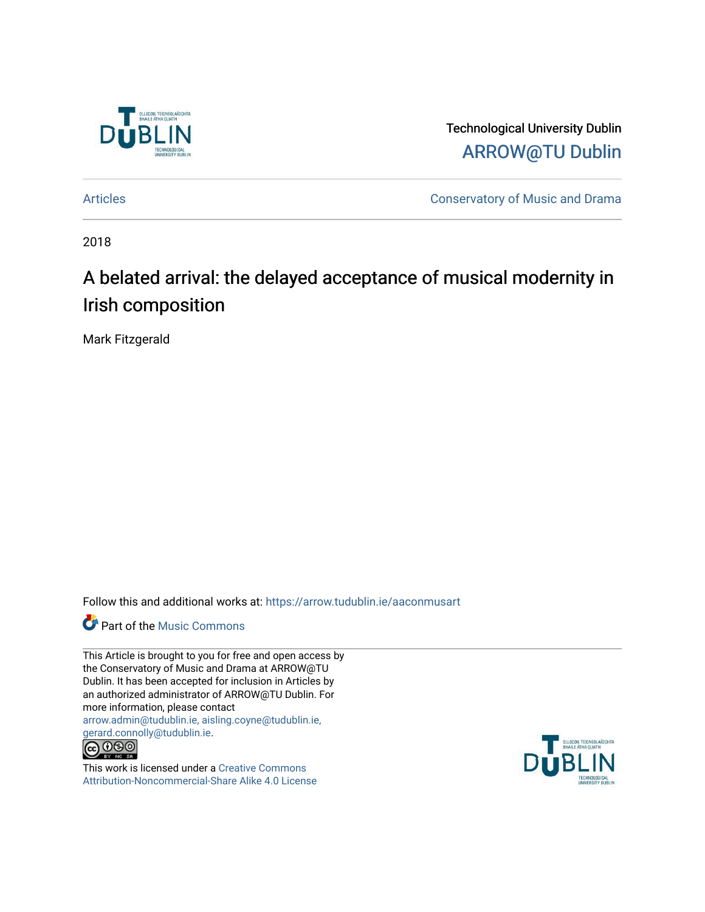

Technological University Dublin [ARROW@TU Dublin](https://arrow.tudublin.ie/) 

[Articles](https://arrow.tudublin.ie/aaconmusart) **Conservatory of Music and Drama** 

2018

# A belated arrival: the delayed acceptance of musical modernity in Irish composition

Mark Fitzgerald

Follow this and additional works at: [https://arrow.tudublin.ie/aaconmusart](https://arrow.tudublin.ie/aaconmusart?utm_source=arrow.tudublin.ie%2Faaconmusart%2F38&utm_medium=PDF&utm_campaign=PDFCoverPages)

**C** Part of the Music Commons

This Article is brought to you for free and open access by the Conservatory of Music and Drama at ARROW@TU Dublin. It has been accepted for inclusion in Articles by an authorized administrator of ARROW@TU Dublin. For more information, please contact [arrow.admin@tudublin.ie, aisling.coyne@tudublin.ie,](mailto:arrow.admin@tudublin.ie,%20aisling.coyne@tudublin.ie,%20gerard.connolly@tudublin.ie)  [gerard.connolly@tudublin.ie](mailto:arrow.admin@tudublin.ie,%20aisling.coyne@tudublin.ie,%20gerard.connolly@tudublin.ie).



This work is licensed under a [Creative Commons](http://creativecommons.org/licenses/by-nc-sa/4.0/) [Attribution-Noncommercial-Share Alike 4.0 License](http://creativecommons.org/licenses/by-nc-sa/4.0/)

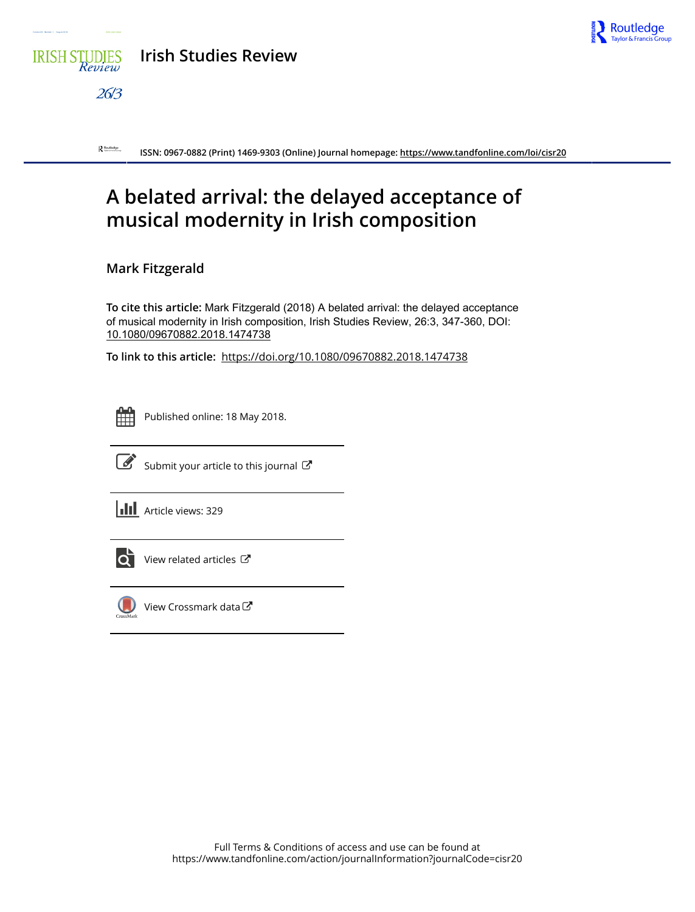



**ISSN: 0967-0882 (Print) 1469-9303 (Online) Journal homepage:<https://www.tandfonline.com/loi/cisr20>**

# **A belated arrival: the delayed acceptance of musical modernity in Irish composition**

**Mark Fitzgerald**

**To cite this article:** Mark Fitzgerald (2018) A belated arrival: the delayed acceptance of musical modernity in Irish composition, Irish Studies Review, 26:3, 347-360, DOI: [10.1080/09670882.2018.1474738](https://www.tandfonline.com/action/showCitFormats?doi=10.1080/09670882.2018.1474738)

**To link to this article:** <https://doi.org/10.1080/09670882.2018.1474738>



 $R$  Routledge

Published online: 18 May 2018.



 $\overrightarrow{S}$  [Submit your article to this journal](https://www.tandfonline.com/action/authorSubmission?journalCode=cisr20&show=instructions)  $\overrightarrow{S}$ 

**III** Article views: 329



[View related articles](https://www.tandfonline.com/doi/mlt/10.1080/09670882.2018.1474738)  $\mathbb{Z}$ 



[View Crossmark data](http://crossmark.crossref.org/dialog/?doi=10.1080/09670882.2018.1474738&domain=pdf&date_stamp=2018-05-18)<sup>C</sup>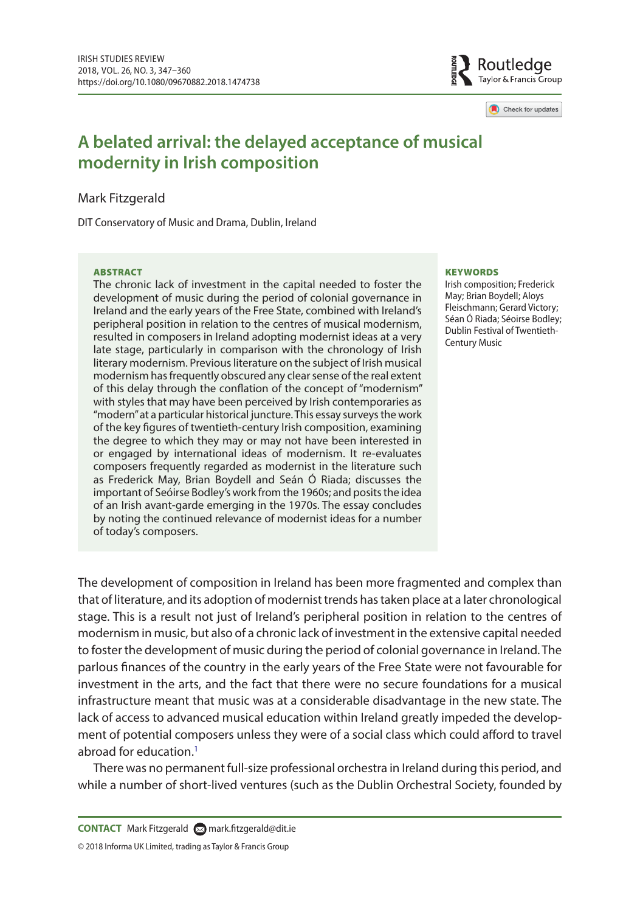

Check for updates

## **A belated arrival: the delayed acceptance of musical modernity in Irish composition**

#### Mark Fitzgerald

DIT Conservatory of Music and Drama, Dublin, Ireland

#### **ARSTRACT**

The chronic lack of investment in the capital needed to foster the development of music during the period of colonial governance in Ireland and the early years of the Free State, combined with Ireland's peripheral position in relation to the centres of musical modernism, resulted in composers in Ireland adopting modernist ideas at a very late stage, particularly in comparison with the chronology of Irish literary modernism. Previous literature on the subject of Irish musical modernism has frequently obscured any clear sense of the real extent of this delay through the conflation of the concept of "modernism" with styles that may have been perceived by Irish contemporaries as "modern" at a particular historical juncture. This essay surveys the work of the key figures of twentieth-century Irish composition, examining the degree to which they may or may not have been interested in or engaged by international ideas of modernism. It re-evaluates composers frequently regarded as modernist in the literature such as Frederick May, Brian Boydell and Seán Ó Riada; discusses the important of Seóirse Bodley's work from the 1960s; and posits the idea of an Irish avant-garde emerging in the 1970s. The essay concludes by noting the continued relevance of modernist ideas for a number of today's composers.

#### **KEYWORDS**

Irish composition; Frederick May; Brian Boydell; Aloys Fleischmann; Gerard Victory; Séan Ó Riada; Séoirse Bodley; Dublin Festival of Twentieth-Century Music

The development of composition in Ireland has been more fragmented and complex than that of literature, and its adoption of modernist trends has taken place at a later chronological stage. This is a result not just of Ireland's peripheral position in relation to the centres of modernism in music, but also of a chronic lack of investment in the extensive capital needed to foster the development of music during the period of colonial governance in Ireland. The parlous finances of the country in the early years of the Free State were not favourable for investment in the arts, and the fact that there were no secure foundations for a musical infrastructure meant that music was at a considerable disadvantage in the new state. The lack of access to advanced musical education within Ireland greatly impeded the development of potential composers unless they were of a social class which could afford to travel abroad for education $<sup>1</sup>$  $<sup>1</sup>$  $<sup>1</sup>$ </sup>

There was no permanent full-size professional orchestra in Ireland during this period, and while a number of short-lived ventures (such as the Dublin Orchestral Society, founded by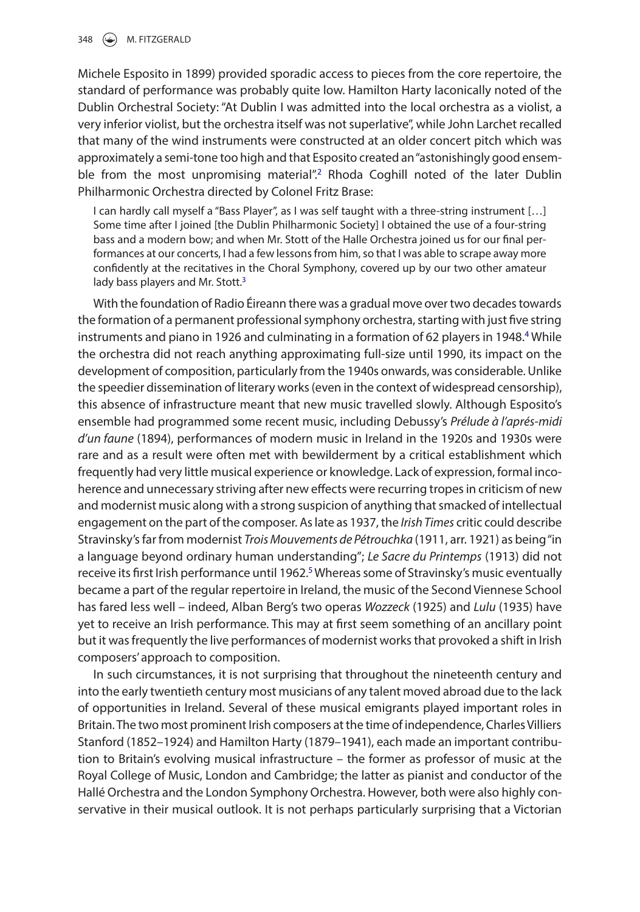Michele Esposito in 1899) provided sporadic access to pieces from the core repertoire, the standard of performance was probably quite low. Hamilton Harty laconically noted of the Dublin Orchestral Society: "At Dublin I was admitted into the local orchestra as a violist, a very inferior violist, but the orchestra itself was not superlative", while John Larchet recalled that many of the wind instruments were constructed at an older concert pitch which was approximately a semi-tone too high and that Esposito created an "astonishingly good ensem-ble from the most unpromising material".<sup>[2](#page-11-1)</sup> Rhoda Coghill noted of the later Dublin Philharmonic Orchestra directed by Colonel Fritz Brase:

I can hardly call myself a "Bass Player", as I was self taught with a three-string instrument […] Some time after I joined [the Dublin Philharmonic Society] I obtained the use of a four-string bass and a modern bow; and when Mr. Stott of the Halle Orchestra joined us for our final performances at our concerts, I had a few lessons from him, so that I was able to scrape away more confidently at the recitatives in the Choral Symphony, covered up by our two other amateur lady bass players and Mr. Stott.<sup>[3](#page-12-0)</sup>

With the foundation of Radio Éireann there was a gradual move over two decades towards the formation of a permanent professional symphony orchestra, starting with just five string instruments and piano in 1926 and culminating in a formation of 62 players in 1948.<sup>4</sup> While the orchestra did not reach anything approximating full-size until 1990, its impact on the development of composition, particularly from the 1940s onwards, was considerable. Unlike the speedier dissemination of literary works (even in the context of widespread censorship), this absence of infrastructure meant that new music travelled slowly. Although Esposito's ensemble had programmed some recent music, including Debussy's *Prélude à l'aprés*-*midi d'un faune* (1894), performances of modern music in Ireland in the 1920s and 1930s were rare and as a result were often met with bewilderment by a critical establishment which frequently had very little musical experience or knowledge. Lack of expression, formal incoherence and unnecessary striving after new effects were recurring tropes in criticism of new and modernist music along with a strong suspicion of anything that smacked of intellectual engagement on the part of the composer. As late as 1937, the *Irish Times* critic could describe Stravinsky's far from modernist *Trois Mouvements de Pétrouchka* (1911, arr. 1921) as being "in a language beyond ordinary human understanding"; *Le Sacre du Printemps* (1913) did not receive its first Irish performance until 1962.<sup>[5](#page-12-2)</sup> Whereas some of Stravinsky's music eventually became a part of the regular repertoire in Ireland, the music of the Second Viennese School has fared less well – indeed, Alban Berg's two operas *Wozzeck* (1925) and *Lulu* (1935) have yet to receive an Irish performance. This may at first seem something of an ancillary point but it was frequently the live performances of modernist works that provoked a shift in Irish composers' approach to composition.

In such circumstances, it is not surprising that throughout the nineteenth century and into the early twentieth century most musicians of any talent moved abroad due to the lack of opportunities in Ireland. Several of these musical emigrants played important roles in Britain. The two most prominent Irish composers at the time of independence, Charles Villiers Stanford (1852–1924) and Hamilton Harty (1879–1941), each made an important contribution to Britain's evolving musical infrastructure – the former as professor of music at the Royal College of Music, London and Cambridge; the latter as pianist and conductor of the Hallé Orchestra and the London Symphony Orchestra. However, both were also highly conservative in their musical outlook. It is not perhaps particularly surprising that a Victorian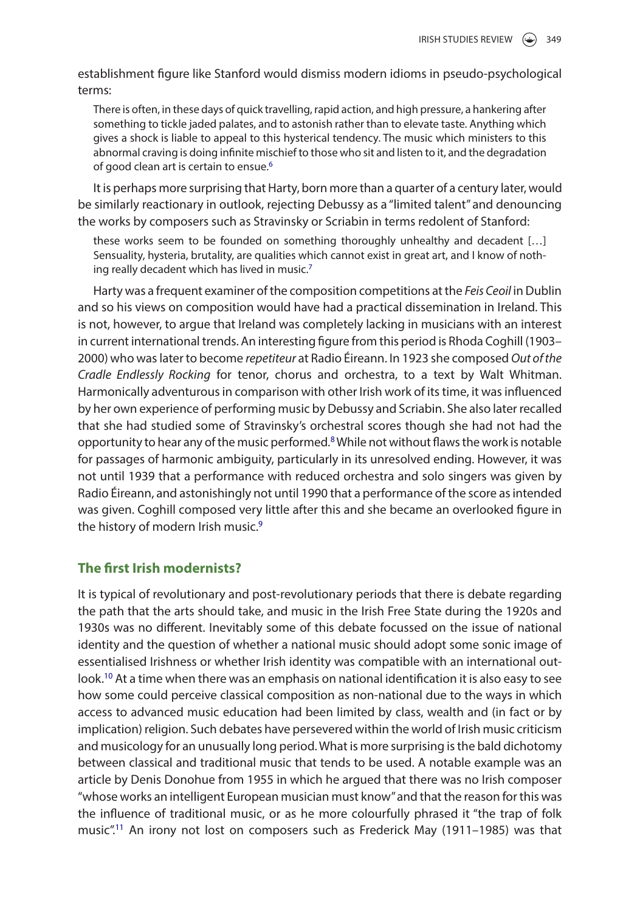establishment figure like Stanford would dismiss modern idioms in pseudo-psychological terms:

There is often, in these days of quick travelling, rapid action, and high pressure, a hankering after something to tickle jaded palates, and to astonish rather than to elevate taste. Anything which gives a shock is liable to appeal to this hysterical tendency. The music which ministers to this abnormal craving is doing infinite mischief to those who sit and listen to it, and the degradation of good clean art is certain to ensue.<sup>6</sup>

It is perhaps more surprising that Harty, born more than a quarter of a century later, would be similarly reactionary in outlook, rejecting Debussy as a "limited talent" and denouncing the works by composers such as Stravinsky or Scriabin in terms redolent of Stanford:

these works seem to be founded on something thoroughly unhealthy and decadent […] Sensuality, hysteria, brutality, are qualities which cannot exist in great art, and I know of nothing really decadent which has lived in music.[7](#page-12-4)

Harty was a frequent examiner of the composition competitions at the *Feis Ceoil* in Dublin and so his views on composition would have had a practical dissemination in Ireland. This is not, however, to argue that Ireland was completely lacking in musicians with an interest in current international trends. An interesting figure from this period is Rhoda Coghill (1903– 2000) who was later to become *repetiteur* at Radio Éireann. In 1923 she composed *Out of the Cradle Endlessly Rocking* for tenor, chorus and orchestra, to a text by Walt Whitman. Harmonically adventurous in comparison with other Irish work of its time, it was influenced by her own experience of performing music by Debussy and Scriabin. She also later recalled that she had studied some of Stravinsky's orchestral scores though she had not had the opportunity to hear any of the music performed.<sup>[8](#page-12-5)</sup> While not without flaws the work is notable for passages of harmonic ambiguity, particularly in its unresolved ending. However, it was not until 1939 that a performance with reduced orchestra and solo singers was given by Radio Éireann, and astonishingly not until 1990 that a performance of the score as intended was given. Coghill composed very little after this and she became an overlooked figure in the history of modern Irish music.<sup>9</sup>

#### **The first Irish modernists?**

It is typical of revolutionary and post-revolutionary periods that there is debate regarding the path that the arts should take, and music in the Irish Free State during the 1920s and 1930s was no different. Inevitably some of this debate focussed on the issue of national identity and the question of whether a national music should adopt some sonic image of essentialised Irishness or whether Irish identity was compatible with an international outlook.<sup>10</sup> At a time when there was an emphasis on national identification it is also easy to see how some could perceive classical composition as non-national due to the ways in which access to advanced music education had been limited by class, wealth and (in fact or by implication) religion. Such debates have persevered within the world of Irish music criticism and musicology for an unusually long period. What is more surprising is the bald dichotomy between classical and traditional music that tends to be used. A notable example was an article by Denis Donohue from 1955 in which he argued that there was no Irish composer "whose works an intelligent European musician must know" and that the reason for this was the influence of traditional music, or as he more colourfully phrased it "the trap of folk music".[11](#page-12-8) An irony not lost on composers such as Frederick May (1911–1985) was that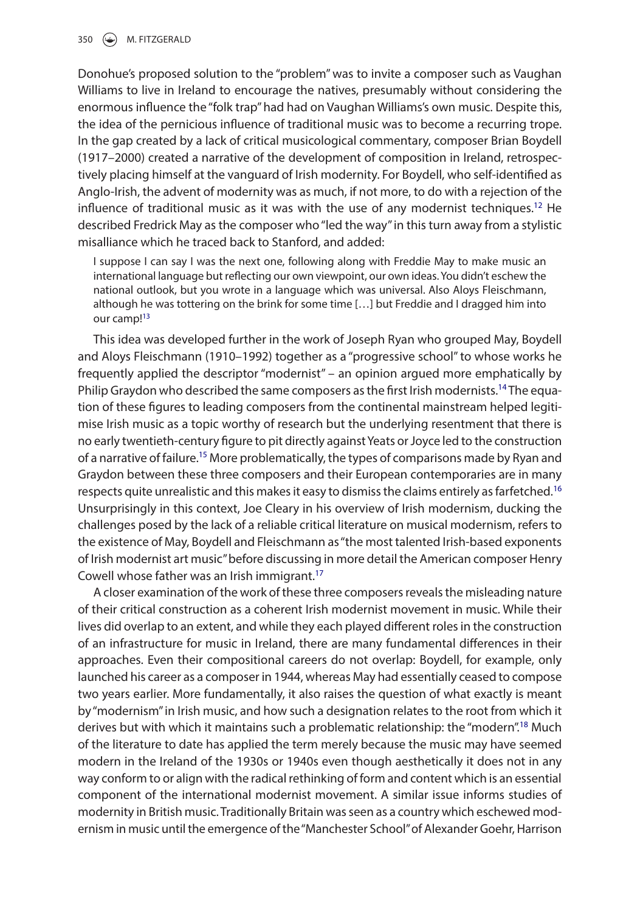Donohue's proposed solution to the "problem" was to invite a composer such as Vaughan Williams to live in Ireland to encourage the natives, presumably without considering the enormous influence the "folk trap" had had on Vaughan Williams's own music. Despite this, the idea of the pernicious influence of traditional music was to become a recurring trope. In the gap created by a lack of critical musicological commentary, composer Brian Boydell (1917–2000) created a narrative of the development of composition in Ireland, retrospectively placing himself at the vanguard of Irish modernity. For Boydell, who self-identified as Anglo-Irish, the advent of modernity was as much, if not more, to do with a rejection of the influence of traditional music as it was with the use of any modernist techniques.<sup>[12](#page-12-9)</sup> He described Fredrick May as the composer who "led the way" in this turn away from a stylistic misalliance which he traced back to Stanford, and added:

I suppose I can say I was the next one, following along with Freddie May to make music an international language but reflecting our own viewpoint, our own ideas. You didn't eschew the national outlook, but you wrote in a language which was universal. Also Aloys Fleischmann, although he was tottering on the brink for some time […] but Freddie and I dragged him into our camp!<sup>[13](#page-12-10)</sup>

This idea was developed further in the work of Joseph Ryan who grouped May, Boydell and Aloys Fleischmann (1910–1992) together as a "progressive school" to whose works he frequently applied the descriptor "modernist" – an opinion argued more emphatically by Philip Graydon who described the same composers as the first Irish modernists.<sup>14</sup> The equation of these figures to leading composers from the continental mainstream helped legitimise Irish music as a topic worthy of research but the underlying resentment that there is no early twentieth-century figure to pit directly against Yeats or Joyce led to the construction of a narrative of failure[.15](#page-12-12) More problematically, the types of comparisons made by Ryan and Graydon between these three composers and their European contemporaries are in many respects quite unrealistic and this makes it easy to dismiss the claims entirely as farfetched.[16](#page-12-13) Unsurprisingly in this context, Joe Cleary in his overview of Irish modernism, ducking the challenges posed by the lack of a reliable critical literature on musical modernism, refers to the existence of May, Boydell and Fleischmann as "the most talented Irish-based exponents of Irish modernist art music" before discussing in more detail the American composer Henry Cowell whose father was an Irish immigrant.[17](#page-12-14)

A closer examination of the work of these three composers reveals the misleading nature of their critical construction as a coherent Irish modernist movement in music. While their lives did overlap to an extent, and while they each played different roles in the construction of an infrastructure for music in Ireland, there are many fundamental differences in their approaches. Even their compositional careers do not overlap: Boydell, for example, only launched his career as a composer in 1944, whereas May had essentially ceased to compose two years earlier. More fundamentally, it also raises the question of what exactly is meant by "modernism" in Irish music, and how such a designation relates to the root from which it derives but with which it maintains such a problematic relationship: the "modern".<sup>[18](#page-12-15)</sup> Much of the literature to date has applied the term merely because the music may have seemed modern in the Ireland of the 1930s or 1940s even though aesthetically it does not in any way conform to or align with the radical rethinking of form and content which is an essential component of the international modernist movement. A similar issue informs studies of modernity in British music. Traditionally Britain was seen as a country which eschewed modernism in music until the emergence of the "Manchester School" of Alexander Goehr, Harrison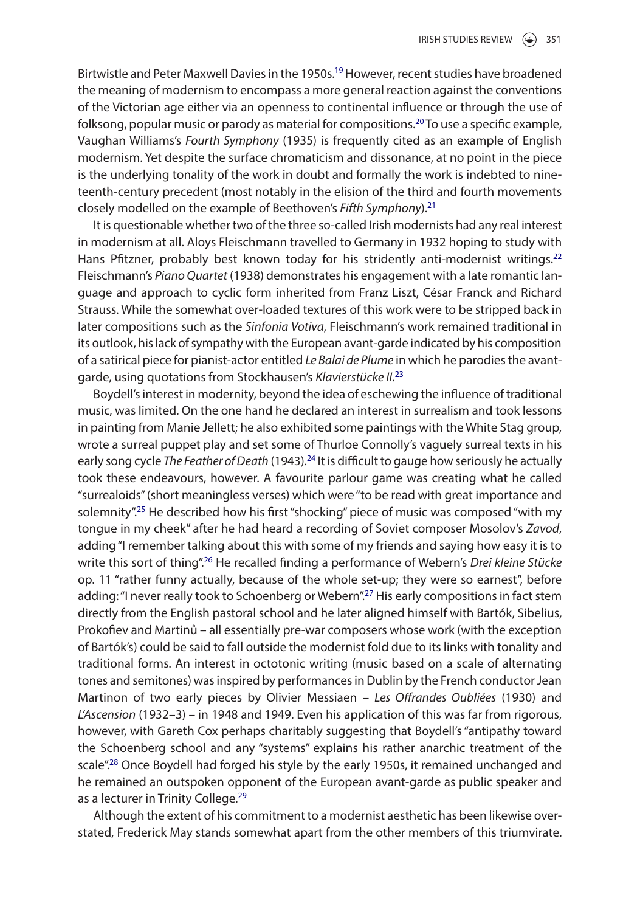Birtwistle and Peter Maxwell Davies in the 1950s.<sup>19</sup> However, recent studies have broadened the meaning of modernism to encompass a more general reaction against the conventions of the Victorian age either via an openness to continental influence or through the use of folksong, popular music or parody as material for compositions[.20](#page-12-17) To use a specific example, Vaughan Williams's *Fourth Symphony* (1935) is frequently cited as an example of English modernism. Yet despite the surface chromaticism and dissonance, at no point in the piece is the underlying tonality of the work in doubt and formally the work is indebted to nineteenth-century precedent (most notably in the elision of the third and fourth movements closely modelled on the example of Beethoven's *Fifth Symphony*).[21](#page-12-18)

It is questionable whether two of the three so-called Irish modernists had any real interest in modernism at all. Aloys Fleischmann travelled to Germany in 1932 hoping to study with Hans Pfitzner, probably best known today for his stridently anti-modernist writings.<sup>[22](#page-13-0)</sup> Fleischmann's *Piano Quartet* (1938) demonstrates his engagement with a late romantic language and approach to cyclic form inherited from Franz Liszt, César Franck and Richard Strauss. While the somewhat over-loaded textures of this work were to be stripped back in later compositions such as the *Sinfonia Votiva*, Fleischmann's work remained traditional in its outlook, his lack of sympathy with the European avant-garde indicated by his composition of a satirical piece for pianist-actor entitled *Le Balai de Plume* in which he parodies the avantgarde, using quotations from Stockhausen's *Klavierstücke II*. [23](#page-13-1)

Boydell's interest in modernity, beyond the idea of eschewing the influence of traditional music, was limited. On the one hand he declared an interest in surrealism and took lessons in painting from Manie Jellett; he also exhibited some paintings with the White Stag group, wrote a surreal puppet play and set some of Thurloe Connolly's vaguely surreal texts in his early song cycle *The Feather of Death* (1943).[24](#page-13-2) It is difficult to gauge how seriously he actually took these endeavours, however. A favourite parlour game was creating what he called "surrealoids" (short meaningless verses) which were "to be read with great importance and solemnity".[25](#page-13-3) He described how his first "shocking" piece of music was composed "with my tongue in my cheek" after he had heard a recording of Soviet composer Mosolov's *Zavod*, adding "I remember talking about this with some of my friends and saying how easy it is to write this sort of thing"[.26](#page-13-4) He recalled finding a performance of Webern's *Drei kleine Stücke* op. 11 "rather funny actually, because of the whole set-up; they were so earnest", before adding: "I never really took to Schoenberg or Webern".<sup>27</sup> His early compositions in fact stem directly from the English pastoral school and he later aligned himself with Bartók, Sibelius, Prokofiev and Martinů – all essentially pre-war composers whose work (with the exception of Bartók's) could be said to fall outside the modernist fold due to its links with tonality and traditional forms. An interest in octotonic writing (music based on a scale of alternating tones and semitones) was inspired by performances in Dublin by the French conductor Jean Martinon of two early pieces by Olivier Messiaen – *Les Offrandes Oubliées* (1930) and *L'Ascension* (1932–3) – in 1948 and 1949. Even his application of this was far from rigorous, however, with Gareth Cox perhaps charitably suggesting that Boydell's "antipathy toward the Schoenberg school and any "systems" explains his rather anarchic treatment of the scale".<sup>28</sup> Once Boydell had forged his style by the early 1950s, it remained unchanged and he remained an outspoken opponent of the European avant-garde as public speaker and as a lecturer in Trinity College.<sup>[29](#page-13-7)</sup>

Although the extent of his commitment to a modernist aesthetic has been likewise overstated, Frederick May stands somewhat apart from the other members of this triumvirate.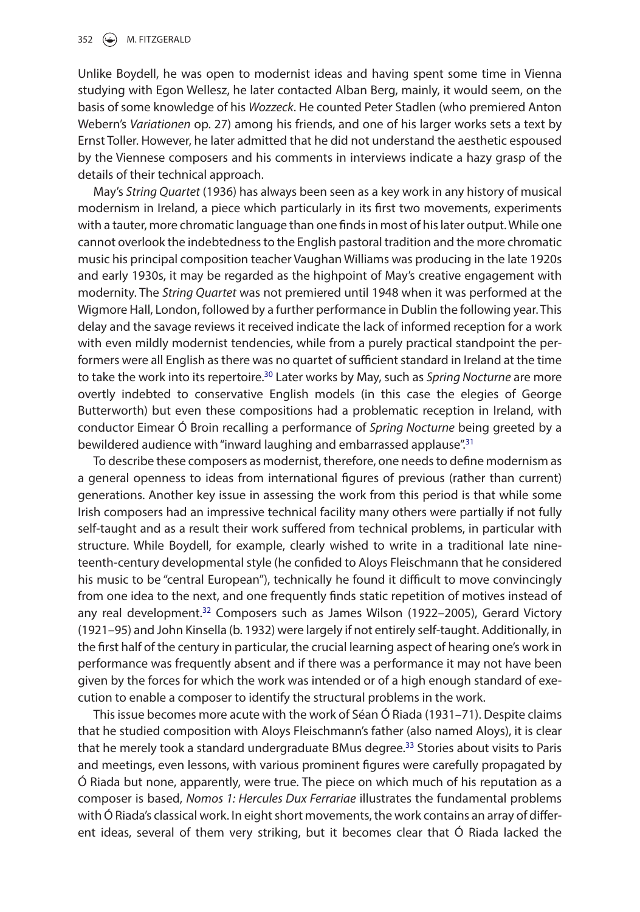Unlike Boydell, he was open to modernist ideas and having spent some time in Vienna studying with Egon Wellesz, he later contacted Alban Berg, mainly, it would seem, on the basis of some knowledge of his *Wozzeck*. He counted Peter Stadlen (who premiered Anton Webern's *Variationen* op. 27) among his friends, and one of his larger works sets a text by Ernst Toller. However, he later admitted that he did not understand the aesthetic espoused by the Viennese composers and his comments in interviews indicate a hazy grasp of the details of their technical approach.

May's *String Quartet* (1936) has always been seen as a key work in any history of musical modernism in Ireland, a piece which particularly in its first two movements, experiments with a tauter, more chromatic language than one finds in most of his later output. While one cannot overlook the indebtedness to the English pastoral tradition and the more chromatic music his principal composition teacher Vaughan Williams was producing in the late 1920s and early 1930s, it may be regarded as the highpoint of May's creative engagement with modernity. The *String Quartet* was not premiered until 1948 when it was performed at the Wigmore Hall, London, followed by a further performance in Dublin the following year. This delay and the savage reviews it received indicate the lack of informed reception for a work with even mildly modernist tendencies, while from a purely practical standpoint the performers were all English as there was no quartet of sufficient standard in Ireland at the time to take the work into its repertoire.[30](#page-13-8) Later works by May, such as *Spring Nocturne* are more overtly indebted to conservative English models (in this case the elegies of George Butterworth) but even these compositions had a problematic reception in Ireland, with conductor Eimear Ó Broin recalling a performance of *Spring Nocturne* being greeted by a bewildered audience with "inward laughing and embarrassed applause".<sup>[31](#page-13-9)</sup>

To describe these composers as modernist, therefore, one needs to define modernism as a general openness to ideas from international figures of previous (rather than current) generations. Another key issue in assessing the work from this period is that while some Irish composers had an impressive technical facility many others were partially if not fully self-taught and as a result their work suffered from technical problems, in particular with structure. While Boydell, for example, clearly wished to write in a traditional late nineteenth-century developmental style (he confided to Aloys Fleischmann that he considered his music to be "central European"), technically he found it difficult to move convincingly from one idea to the next, and one frequently finds static repetition of motives instead of any real development.<sup>32</sup> Composers such as James Wilson (1922–2005), Gerard Victory (1921–95) and John Kinsella (b. 1932) were largely if not entirely self-taught. Additionally, in the first half of the century in particular, the crucial learning aspect of hearing one's work in performance was frequently absent and if there was a performance it may not have been given by the forces for which the work was intended or of a high enough standard of execution to enable a composer to identify the structural problems in the work.

This issue becomes more acute with the work of Séan Ó Riada (1931–71). Despite claims that he studied composition with Aloys Fleischmann's father (also named Aloys), it is clear that he merely took a standard undergraduate BMus degree.<sup>[33](#page-13-11)</sup> Stories about visits to Paris and meetings, even lessons, with various prominent figures were carefully propagated by Ó Riada but none, apparently, were true. The piece on which much of his reputation as a composer is based, *Nomos 1: Hercules Dux Ferrariae* illustrates the fundamental problems with Ó Riada's classical work. In eight short movements, the work contains an array of different ideas, several of them very striking, but it becomes clear that Ó Riada lacked the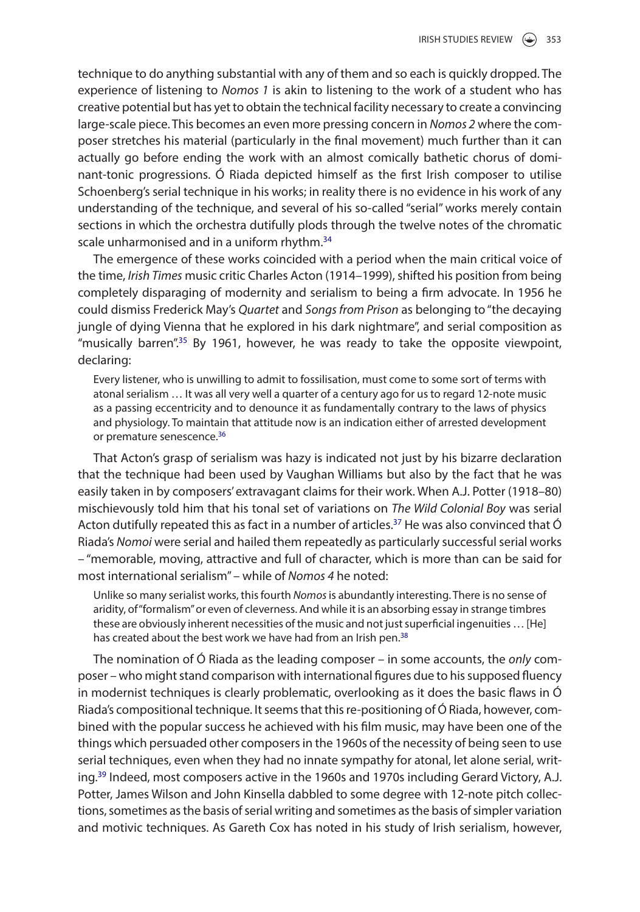technique to do anything substantial with any of them and so each is quickly dropped. The experience of listening to *Nomos 1* is akin to listening to the work of a student who has creative potential but has yet to obtain the technical facility necessary to create a convincing large-scale piece. This becomes an even more pressing concern in *Nomos 2* where the composer stretches his material (particularly in the final movement) much further than it can actually go before ending the work with an almost comically bathetic chorus of dominant-tonic progressions. Ó Riada depicted himself as the first Irish composer to utilise Schoenberg's serial technique in his works; in reality there is no evidence in his work of any understanding of the technique, and several of his so-called "serial" works merely contain sections in which the orchestra dutifully plods through the twelve notes of the chromatic scale unharmonised and in a uniform rhythm.<sup>34</sup>

The emergence of these works coincided with a period when the main critical voice of the time, *Irish Times* music critic Charles Acton (1914–1999), shifted his position from being completely disparaging of modernity and serialism to being a firm advocate. In 1956 he could dismiss Frederick May's *Quartet* and *Songs from Prison* as belonging to "the decaying jungle of dying Vienna that he explored in his dark nightmare", and serial composition as "musically barren".<sup>[35](#page-13-13)</sup> By 1961, however, he was ready to take the opposite viewpoint, declaring:

Every listener, who is unwilling to admit to fossilisation, must come to some sort of terms with atonal serialism … It was all very well a quarter of a century ago for us to regard 12-note music as a passing eccentricity and to denounce it as fundamentally contrary to the laws of physics and physiology. To maintain that attitude now is an indication either of arrested development or premature senescence.<sup>36</sup>

That Acton's grasp of serialism was hazy is indicated not just by his bizarre declaration that the technique had been used by Vaughan Williams but also by the fact that he was easily taken in by composers' extravagant claims for their work. When A.J. Potter (1918–80) mischievously told him that his tonal set of variations on *The Wild Colonial Boy* was serial Acton dutifully repeated this as fact in a number of articles.<sup>37</sup> He was also convinced that Ó Riada's *Nomoi* were serial and hailed them repeatedly as particularly successful serial works – "memorable, moving, attractive and full of character, which is more than can be said for most international serialism" – while of *Nomos 4* he noted:

Unlike so many serialist works, this fourth *Nomos* is abundantly interesting. There is no sense of aridity, of "formalism" or even of cleverness. And while it is an absorbing essay in strange timbres these are obviously inherent necessities of the music and not just superficial ingenuities … [He] has created about the best work we have had from an Irish pen.<sup>[38](#page-13-16)</sup>

The nomination of Ó Riada as the leading composer – in some accounts, the *only* composer – who might stand comparison with international figures due to his supposed fluency in modernist techniques is clearly problematic, overlooking as it does the basic flaws in Ó Riada's compositional technique. It seems that this re-positioning of Ó Riada, however, combined with the popular success he achieved with his film music, may have been one of the things which persuaded other composers in the 1960s of the necessity of being seen to use serial techniques, even when they had no innate sympathy for atonal, let alone serial, writing[.39](#page-13-17) Indeed, most composers active in the 1960s and 1970s including Gerard Victory, A.J. Potter, James Wilson and John Kinsella dabbled to some degree with 12-note pitch collections, sometimes as the basis of serial writing and sometimes as the basis of simpler variation and motivic techniques. As Gareth Cox has noted in his study of Irish serialism, however,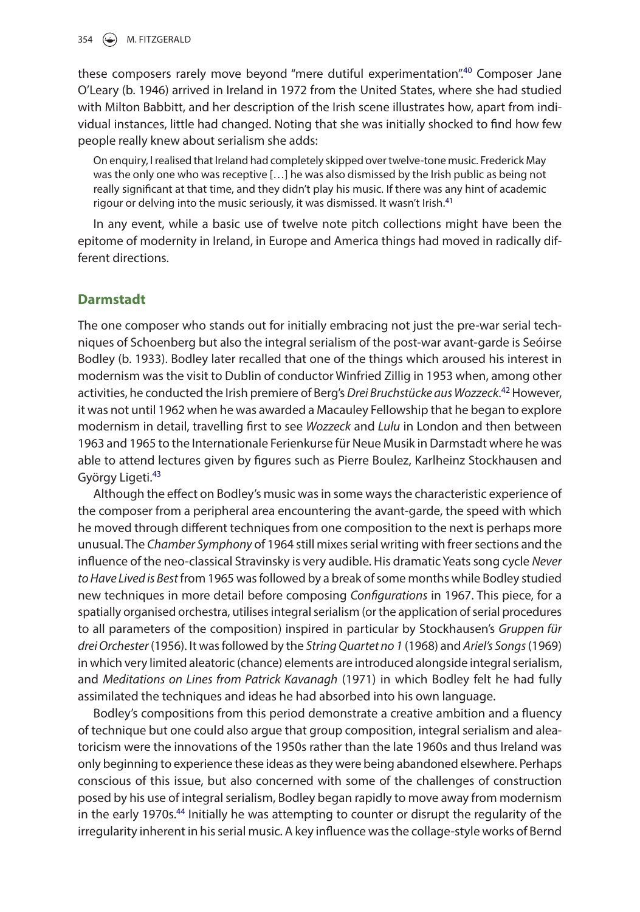these composers rarely move beyond "mere dutiful experimentation"[.40](#page-13-18) Composer Jane O'Leary (b. 1946) arrived in Ireland in 1972 from the United States, where she had studied with Milton Babbitt, and her description of the Irish scene illustrates how, apart from individual instances, little had changed. Noting that she was initially shocked to find how few people really knew about serialism she adds:

On enquiry, I realised that Ireland had completely skipped over twelve-tone music. Frederick May was the only one who was receptive […] he was also dismissed by the Irish public as being not really significant at that time, and they didn't play his music. If there was any hint of academic rigour or delving into the music seriously, it was dismissed. It wasn't Irish.<sup>41</sup>

In any event, while a basic use of twelve note pitch collections might have been the epitome of modernity in Ireland, in Europe and America things had moved in radically different directions.

#### **Darmstadt**

The one composer who stands out for initially embracing not just the pre-war serial techniques of Schoenberg but also the integral serialism of the post-war avant-garde is Seóirse Bodley (b. 1933). Bodley later recalled that one of the things which aroused his interest in modernism was the visit to Dublin of conductor Winfried Zillig in 1953 when, among other activities, he conducted the Irish premiere of Berg's *Drei Bruchstücke aus Wozzeck*. [42](#page-13-20) However, it was not until 1962 when he was awarded a Macauley Fellowship that he began to explore modernism in detail, travelling first to see *Wozzeck* and *Lulu* in London and then between 1963 and 1965 to the Internationale Ferienkurse für Neue Musik in Darmstadt where he was able to attend lectures given by figures such as Pierre Boulez, Karlheinz Stockhausen and György Ligeti.[43](#page-13-21)

Although the effect on Bodley's music was in some ways the characteristic experience of the composer from a peripheral area encountering the avant-garde, the speed with which he moved through different techniques from one composition to the next is perhaps more unusual. The *Chamber Symphony* of 1964 still mixes serial writing with freer sections and the influence of the neo-classical Stravinsky is very audible. His dramatic Yeats song cycle *Never to Have Lived is Best* from 1965 was followed by a break of some months while Bodley studied new techniques in more detail before composing *Configurations* in 1967. This piece, for a spatially organised orchestra, utilises integral serialism (or the application of serial procedures to all parameters of the composition) inspired in particular by Stockhausen's *Gruppen für drei Orchester* (1956). It was followed by the *String Quartet no 1* (1968) and *Ariel's Songs* (1969) in which very limited aleatoric (chance) elements are introduced alongside integral serialism, and *Meditations on Lines from Patrick Kavanagh* (1971) in which Bodley felt he had fully assimilated the techniques and ideas he had absorbed into his own language.

Bodley's compositions from this period demonstrate a creative ambition and a fluency of technique but one could also argue that group composition, integral serialism and aleatoricism were the innovations of the 1950s rather than the late 1960s and thus Ireland was only beginning to experience these ideas as they were being abandoned elsewhere. Perhaps conscious of this issue, but also concerned with some of the challenges of construction posed by his use of integral serialism, Bodley began rapidly to move away from modernism in the early 1970s.[44](#page-14-0) Initially he was attempting to counter or disrupt the regularity of the irregularity inherent in his serial music. A key influence was the collage-style works of Bernd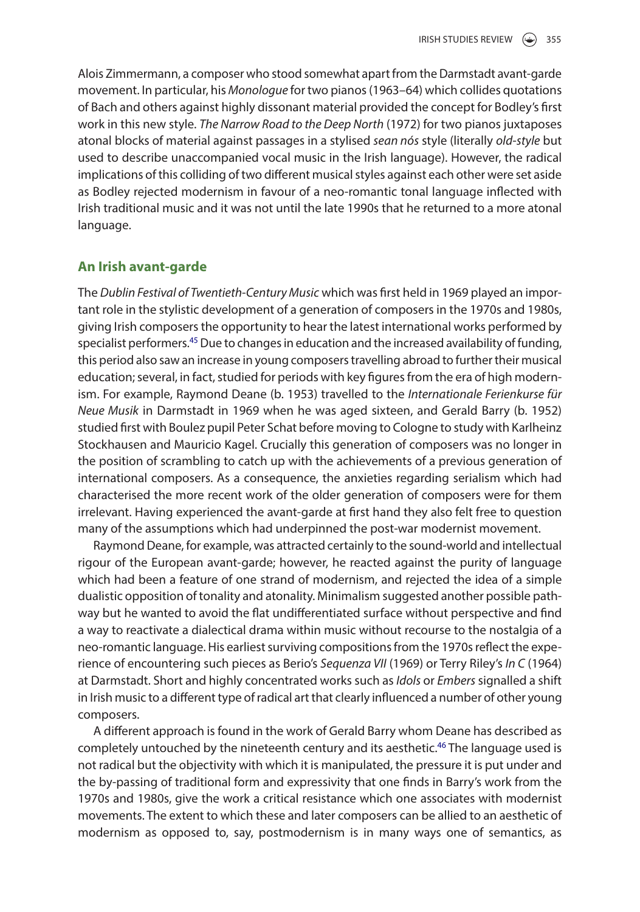Alois Zimmermann, a composer who stood somewhat apart from the Darmstadt avant-garde movement. In particular, his *Monologue* for two pianos (1963–64) which collides quotations of Bach and others against highly dissonant material provided the concept for Bodley's first work in this new style. *The Narrow Road to the Deep North* (1972) for two pianos juxtaposes atonal blocks of material against passages in a stylised *sean nós* style (literally *old*-*style* but used to describe unaccompanied vocal music in the Irish language). However, the radical implications of this colliding of two different musical styles against each other were set aside as Bodley rejected modernism in favour of a neo-romantic tonal language inflected with Irish traditional music and it was not until the late 1990s that he returned to a more atonal language.

#### **An Irish avant-garde**

The *Dublin Festival of Twentieth*-*Century Music* which was first held in 1969 played an important role in the stylistic development of a generation of composers in the 1970s and 1980s, giving Irish composers the opportunity to hear the latest international works performed by specialist performers.<sup>45</sup> Due to changes in education and the increased availability of funding, this period also saw an increase in young composers travelling abroad to further their musical education; several, in fact, studied for periods with key figures from the era of high modernism. For example, Raymond Deane (b. 1953) travelled to the *Internationale Ferienkurse für Neue Musik* in Darmstadt in 1969 when he was aged sixteen, and Gerald Barry (b. 1952) studied first with Boulez pupil Peter Schat before moving to Cologne to study with Karlheinz Stockhausen and Mauricio Kagel. Crucially this generation of composers was no longer in the position of scrambling to catch up with the achievements of a previous generation of international composers. As a consequence, the anxieties regarding serialism which had characterised the more recent work of the older generation of composers were for them irrelevant. Having experienced the avant-garde at first hand they also felt free to question many of the assumptions which had underpinned the post-war modernist movement.

Raymond Deane, for example, was attracted certainly to the sound-world and intellectual rigour of the European avant-garde; however, he reacted against the purity of language which had been a feature of one strand of modernism, and rejected the idea of a simple dualistic opposition of tonality and atonality. Minimalism suggested another possible pathway but he wanted to avoid the flat undifferentiated surface without perspective and find a way to reactivate a dialectical drama within music without recourse to the nostalgia of a neo-romantic language. His earliest surviving compositions from the 1970s reflect the experience of encountering such pieces as Berio's *Sequenza VII* (1969) or Terry Riley's *In C* (1964) at Darmstadt. Short and highly concentrated works such as *Idols* or *Embers* signalled a shift in Irish music to a different type of radical art that clearly influenced a number of other young composers.

A different approach is found in the work of Gerald Barry whom Deane has described as completely untouched by the nineteenth century and its aesthetic.<sup>46</sup> The language used is not radical but the objectivity with which it is manipulated, the pressure it is put under and the by-passing of traditional form and expressivity that one finds in Barry's work from the 1970s and 1980s, give the work a critical resistance which one associates with modernist movements. The extent to which these and later composers can be allied to an aesthetic of modernism as opposed to, say, postmodernism is in many ways one of semantics, as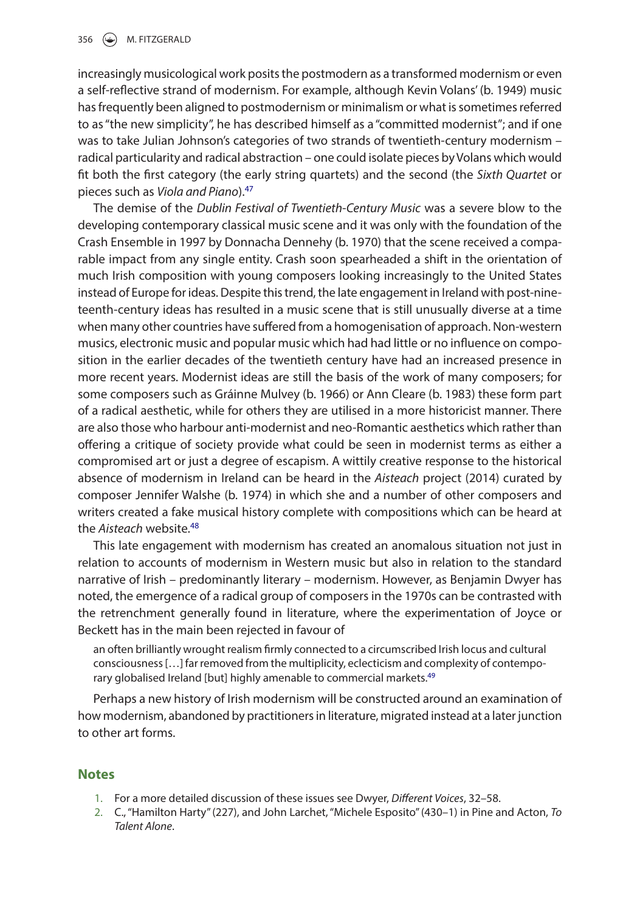increasingly musicological work posits the postmodern as a transformed modernism or even a self-reflective strand of modernism. For example, although Kevin Volans' (b. 1949) music has frequently been aligned to postmodernism or minimalism or what is sometimes referred to as "the new simplicity", he has described himself as a "committed modernist"; and if one was to take Julian Johnson's categories of two strands of twentieth-century modernism – radical particularity and radical abstraction – one could isolate pieces by Volans which would fit both the first category (the early string quartets) and the second (the *Sixth Quartet* or pieces such as *Viola and Piano*).[47](#page-14-3)

The demise of the *Dublin Festival of Twentieth*-*Century Music* was a severe blow to the developing contemporary classical music scene and it was only with the foundation of the Crash Ensemble in 1997 by Donnacha Dennehy (b. 1970) that the scene received a comparable impact from any single entity. Crash soon spearheaded a shift in the orientation of much Irish composition with young composers looking increasingly to the United States instead of Europe for ideas. Despite this trend, the late engagement in Ireland with post-nineteenth-century ideas has resulted in a music scene that is still unusually diverse at a time when many other countries have suffered from a homogenisation of approach. Non-western musics, electronic music and popular music which had had little or no influence on composition in the earlier decades of the twentieth century have had an increased presence in more recent years. Modernist ideas are still the basis of the work of many composers; for some composers such as Gráinne Mulvey (b. 1966) or Ann Cleare (b. 1983) these form part of a radical aesthetic, while for others they are utilised in a more historicist manner. There are also those who harbour anti-modernist and neo-Romantic aesthetics which rather than offering a critique of society provide what could be seen in modernist terms as either a compromised art or just a degree of escapism. A wittily creative response to the historical absence of modernism in Ireland can be heard in the *Aisteach* project (2014) curated by composer Jennifer Walshe (b. 1974) in which she and a number of other composers and writers created a fake musical history complete with compositions which can be heard at the *Aisteach* website.[48](#page-14-4)

This late engagement with modernism has created an anomalous situation not just in relation to accounts of modernism in Western music but also in relation to the standard narrative of Irish – predominantly literary – modernism. However, as Benjamin Dwyer has noted, the emergence of a radical group of composers in the 1970s can be contrasted with the retrenchment generally found in literature, where the experimentation of Joyce or Beckett has in the main been rejected in favour of

an often brilliantly wrought realism firmly connected to a circumscribed Irish locus and cultural consciousness […] far removed from the multiplicity, eclecticism and complexity of contempo-rary globalised Ireland [but] highly amenable to commercial markets.<sup>[49](#page-14-5)</sup>

Perhaps a new history of Irish modernism will be constructed around an examination of how modernism, abandoned by practitioners in literature, migrated instead at a later junction to other art forms.

#### **Notes**

- <span id="page-11-0"></span>1. For a more detailed discussion of these issues see Dwyer, *Different Voices*, 32–58.
- <span id="page-11-1"></span>2. C., "Hamilton Harty" (227), and John Larchet, "Michele Esposito" (430–1) in Pine and Acton, *To Talent Alone*.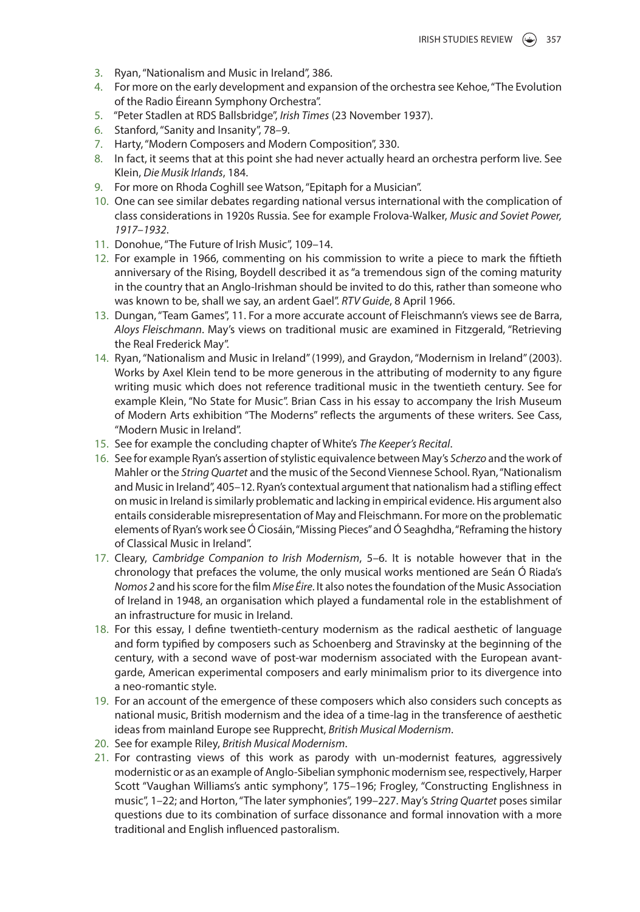- <span id="page-12-0"></span>3. Ryan, "Nationalism and Music in Ireland", 386.
- <span id="page-12-1"></span>4. For more on the early development and expansion of the orchestra see Kehoe, "The Evolution of the Radio Éireann Symphony Orchestra".
- <span id="page-12-2"></span>5. "Peter Stadlen at RDS Ballsbridge", *Irish Times* (23 November 1937).
- <span id="page-12-3"></span>6. Stanford, "Sanity and Insanity", 78–9.
- <span id="page-12-4"></span>7. Harty, "Modern Composers and Modern Composition", 330.
- <span id="page-12-5"></span>8. In fact, it seems that at this point she had never actually heard an orchestra perform live. See Klein, *Die Musik Irlands*, 184.
- <span id="page-12-6"></span>9. For more on Rhoda Coghill see Watson, "Epitaph for a Musician".
- <span id="page-12-7"></span>10. One can see similar debates regarding national versus international with the complication of class considerations in 1920s Russia. See for example Frolova-Walker, *Music and Soviet Power, 1917*–*1932*.
- <span id="page-12-8"></span>11. Donohue, "The Future of Irish Music", 109–14.
- <span id="page-12-9"></span>12. For example in 1966, commenting on his commission to write a piece to mark the fiftieth anniversary of the Rising, Boydell described it as "a tremendous sign of the coming maturity in the country that an Anglo-Irishman should be invited to do this, rather than someone who was known to be, shall we say, an ardent Gael". *RTV Guide*, 8 April 1966.
- <span id="page-12-10"></span>13. Dungan, "Team Games", 11. For a more accurate account of Fleischmann's views see de Barra, *Aloys Fleischmann*. May's views on traditional music are examined in Fitzgerald, "Retrieving the Real Frederick May".
- <span id="page-12-11"></span>14. Ryan, "Nationalism and Music in Ireland" (1999), and Graydon, "Modernism in Ireland" (2003). Works by Axel Klein tend to be more generous in the attributing of modernity to any figure writing music which does not reference traditional music in the twentieth century. See for example Klein, "No State for Music". Brian Cass in his essay to accompany the Irish Museum of Modern Arts exhibition "The Moderns" reflects the arguments of these writers. See Cass, "Modern Music in Ireland".
- <span id="page-12-12"></span>15. See for example the concluding chapter of White's *The Keeper's Recital*.
- <span id="page-12-13"></span>16. See for example Ryan's assertion of stylistic equivalence between May's *Scherzo* and the work of Mahler or the *String Quartet* and the music of the Second Viennese School. Ryan, "Nationalism and Music in Ireland", 405–12. Ryan's contextual argument that nationalism had a stifling effect on music in Ireland is similarly problematic and lacking in empirical evidence. His argument also entails considerable misrepresentation of May and Fleischmann. For more on the problematic elements of Ryan's work see Ó Ciosáin, "Missing Pieces" and Ó Seaghdha, "Reframing the history of Classical Music in Ireland".
- <span id="page-12-14"></span>17. Cleary, *Cambridge Companion to Irish Modernism*, 5–6. It is notable however that in the chronology that prefaces the volume, the only musical works mentioned are Seán Ó Riada's *Nomos 2* and his score for the film *Mise Éire*. It also notes the foundation of the Music Association of Ireland in 1948, an organisation which played a fundamental role in the establishment of an infrastructure for music in Ireland.
- <span id="page-12-15"></span>18. For this essay, I define twentieth-century modernism as the radical aesthetic of language and form typified by composers such as Schoenberg and Stravinsky at the beginning of the century, with a second wave of post-war modernism associated with the European avantgarde, American experimental composers and early minimalism prior to its divergence into a neo-romantic style.
- <span id="page-12-16"></span>19. For an account of the emergence of these composers which also considers such concepts as national music, British modernism and the idea of a time-lag in the transference of aesthetic ideas from mainland Europe see Rupprecht, *British Musical Modernism*.
- <span id="page-12-17"></span>20. See for example Riley, *British Musical Modernism*.
- <span id="page-12-18"></span>21. For contrasting views of this work as parody with un-modernist features, aggressively modernistic or as an example of Anglo-Sibelian symphonic modernism see, respectively, Harper Scott "Vaughan Williams's antic symphony", 175–196; Frogley, "Constructing Englishness in music", 1–22; and Horton, "The later symphonies", 199–227. May's *String Quartet* poses similar questions due to its combination of surface dissonance and formal innovation with a more traditional and English influenced pastoralism.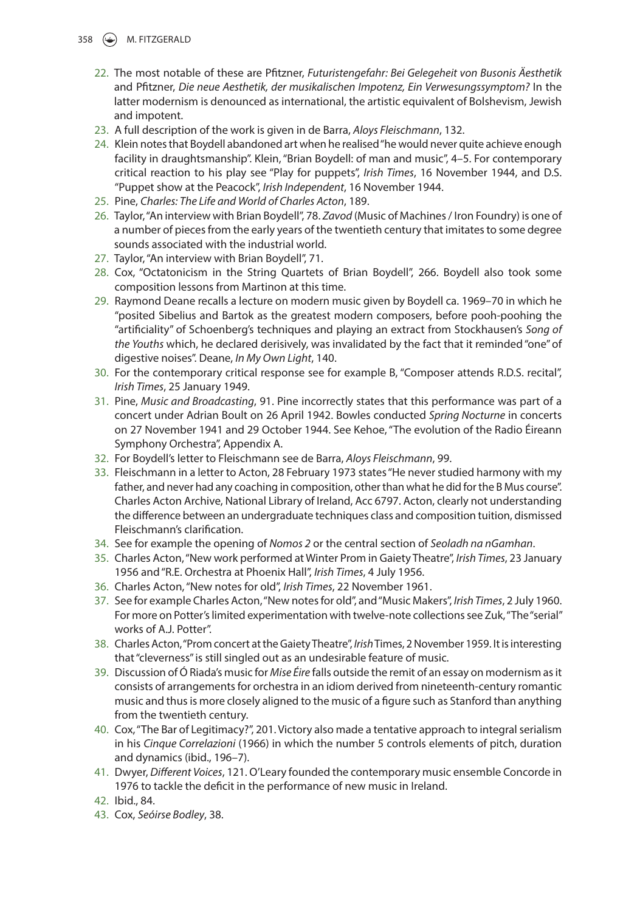#### 358 M. FITZGERALD

- <span id="page-13-0"></span>22. The most notable of these are Pfitzner, *Futuristengefahr: Bei Gelegeheit von Busonis Äesthetik* and Pfitzner, *Die neue Aesthetik, der musikalischen Impotenz, Ein Verwesungssymptom?* In the latter modernism is denounced as international, the artistic equivalent of Bolshevism, Jewish and impotent.
- <span id="page-13-1"></span>23. A full description of the work is given in de Barra, *Aloys Fleischmann*, 132.
- <span id="page-13-2"></span>24. Klein notes that Boydell abandoned art when he realised "he would never quite achieve enough facility in draughtsmanship". Klein, "Brian Boydell: of man and music", 4–5. For contemporary critical reaction to his play see "Play for puppets", *Irish Times*, 16 November 1944, and D.S. "Puppet show at the Peacock", *Irish Independent*, 16 November 1944.
- <span id="page-13-3"></span>25. Pine, *Charles: The Life and World of Charles Acton*, 189.
- <span id="page-13-4"></span>26. Taylor, "An interview with Brian Boydell", 78. *Zavod* (Music of Machines / Iron Foundry) is one of a number of pieces from the early years of the twentieth century that imitates to some degree sounds associated with the industrial world.
- <span id="page-13-5"></span>27. Taylor, "An interview with Brian Boydell", 71.
- <span id="page-13-6"></span>28. Cox, "Octatonicism in the String Quartets of Brian Boydell", 266. Boydell also took some composition lessons from Martinon at this time.
- <span id="page-13-7"></span>29. Raymond Deane recalls a lecture on modern music given by Boydell ca. 1969–70 in which he "posited Sibelius and Bartok as the greatest modern composers, before pooh-poohing the "artificiality" of Schoenberg's techniques and playing an extract from Stockhausen's *Song of the Youths* which, he declared derisively, was invalidated by the fact that it reminded "one" of digestive noises". Deane, *In My Own Light*, 140.
- <span id="page-13-8"></span>30. For the contemporary critical response see for example B, "Composer attends R.D.S. recital", *Irish Times*, 25 January 1949.
- <span id="page-13-9"></span>31. Pine, *Music and Broadcasting*, 91. Pine incorrectly states that this performance was part of a concert under Adrian Boult on 26 April 1942. Bowles conducted *Spring Nocturne* in concerts on 27 November 1941 and 29 October 1944. See Kehoe, "The evolution of the Radio Éireann Symphony Orchestra", Appendix A.
- <span id="page-13-10"></span>32. For Boydell's letter to Fleischmann see de Barra, *Aloys Fleischmann*, 99.
- <span id="page-13-11"></span>33. Fleischmann in a letter to Acton, 28 February 1973 states "He never studied harmony with my father, and never had any coaching in composition, other than what he did for the B Mus course". Charles Acton Archive, National Library of Ireland, Acc 6797. Acton, clearly not understanding the difference between an undergraduate techniques class and composition tuition, dismissed Fleischmann's clarification.
- <span id="page-13-12"></span>34. See for example the opening of *Nomos 2* or the central section of *Seoladh na nGamhan*.
- <span id="page-13-13"></span>35. Charles Acton, "New work performed at Winter Prom in Gaiety Theatre", *Irish Times*, 23 January 1956 and "R.E. Orchestra at Phoenix Hall", *Irish Times*, 4 July 1956.
- <span id="page-13-14"></span>36. Charles Acton, "New notes for old", *Irish Times*, 22 November 1961.
- <span id="page-13-15"></span>37. See for example Charles Acton, "New notes for old", and "Music Makers", *Irish Times*, 2 July 1960. For more on Potter's limited experimentation with twelve-note collections see Zuk, "The "serial" works of A.J. Potter".
- <span id="page-13-16"></span>38. Charles Acton, "Prom concert at the Gaiety Theatre", *Irish* Times, 2 November 1959. It is interesting that "cleverness" is still singled out as an undesirable feature of music.
- <span id="page-13-17"></span>39. Discussion of Ó Riada's music for *Mise Éire* falls outside the remit of an essay on modernism as it consists of arrangements for orchestra in an idiom derived from nineteenth-century romantic music and thus is more closely aligned to the music of a figure such as Stanford than anything from the twentieth century.
- <span id="page-13-18"></span>40. Cox, "The Bar of Legitimacy?", 201. Victory also made a tentative approach to integral serialism in his *Cinque Correlazioni* (1966) in which the number 5 controls elements of pitch, duration and dynamics (ibid., 196–7).
- <span id="page-13-19"></span>41. Dwyer, *Different Voices*, 121. O'Leary founded the contemporary music ensemble Concorde in 1976 to tackle the deficit in the performance of new music in Ireland.
- <span id="page-13-20"></span>42. Ibid., 84.
- <span id="page-13-21"></span>43. Cox, *Seóirse Bodley*, 38.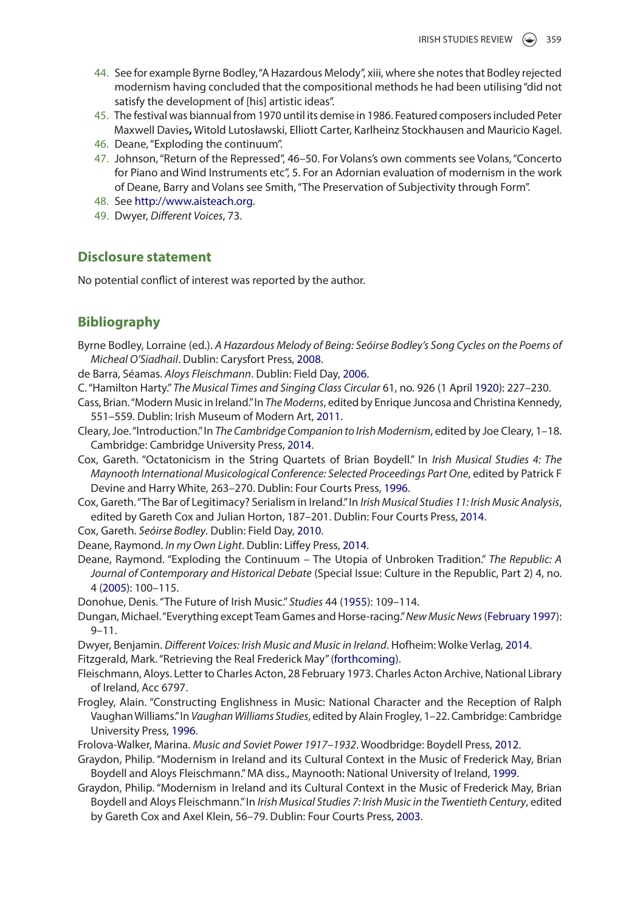- <span id="page-14-0"></span>44. See for example Byrne Bodley, "A Hazardous Melody", xiii, where she notes that Bodley rejected modernism having concluded that the compositional methods he had been utilising "did not satisfy the development of [his] artistic ideas".
- <span id="page-14-1"></span>45. The festival was biannual from 1970 until its demise in 1986. Featured composers included Peter Maxwell Davies**,** Witold Lutosławski, Elliott Carter, Karlheinz Stockhausen and Mauricio Kagel.
- <span id="page-14-2"></span>46. Deane, "Exploding the continuum".
- <span id="page-14-3"></span>47. Johnson, "Return of the Repressed", 46–50. For Volans's own comments see Volans, "Concerto for Piano and Wind Instruments etc", 5. For an Adornian evaluation of modernism in the work of Deane, Barry and Volans see Smith, "The Preservation of Subjectivity through Form".
- <span id="page-14-4"></span>48. See [http://www.aisteach.org.](http://www.aisteach.org)
- <span id="page-14-5"></span>49. Dwyer, *Different Voices*, 73.

### **Disclosure statement**

No potential conflict of interest was reported by the author.

### **Bibliography**

- Byrne Bodley, Lorraine (ed.). *A Hazardous Melody of Being: Seóirse Bodley's Song Cycles on the Poems of Micheal O'Siadhail*. Dublin: Carysfort Press, 2008.
- de Barra, Séamas. *Aloys Fleischmann*. Dublin: Field Day, 2006.
- C. "Hamilton Harty." *The Musical Times and Singing Class Circular* 61, no. 926 (1 April 1920): 227–230.
- Cass, Brian. "Modern Music in Ireland." In *The Moderns*, edited by Enrique Juncosa and Christina Kennedy, 551–559. Dublin: Irish Museum of Modern Art, 2011.
- Cleary, Joe. "Introduction." In *The Cambridge Companion to Irish Modernism*, edited by Joe Cleary, 1–18. Cambridge: Cambridge University Press, 2014.
- Cox, Gareth. "Octatonicism in the String Quartets of Brian Boydell." In *Irish Musical Studies 4: The Maynooth International Musicological Conference: Selected Proceedings Part One*, edited by Patrick F Devine and Harry White, 263–270. Dublin: Four Courts Press, 1996.
- Cox, Gareth. "The Bar of Legitimacy? Serialism in Ireland." In *Irish Musical Studies 11: Irish Music Analysis*, edited by Gareth Cox and Julian Horton, 187–201. Dublin: Four Courts Press, 2014.
- Cox, Gareth. *Seóirse Bodley*. Dublin: Field Day, 2010.
- Deane, Raymond. *In my Own Light*. Dublin: Liffey Press, 2014.
- Deane, Raymond. "Exploding the Continuum The Utopia of Unbroken Tradition." *The Republic: A Journal of Contemporary and Historical Debate* (Special Issue: Culture in the Republic, Part 2) 4, no. 4 (2005): 100–115.
- Donohue, Denis. "The Future of Irish Music." *Studies* 44 (1955): 109–114.
- Dungan, Michael. "Everything except Team Games and Horse-racing." *New Music News* (February 1997): 9–11.
- Dwyer, Benjamin. *Different Voices: Irish Music and Music in Ireland*. Hofheim: Wolke Verlag, 2014. Fitzgerald, Mark. "Retrieving the Real Frederick May" (forthcoming).
- Fleischmann, Aloys. Letter to Charles Acton, 28 February 1973. Charles Acton Archive, National Library of Ireland, Acc 6797.
- Frogley, Alain. "Constructing Englishness in Music: National Character and the Reception of Ralph Vaughan Williams." In *Vaughan Williams Studies*, edited by Alain Frogley, 1–22. Cambridge: Cambridge University Press, 1996.
- Frolova-Walker, Marina. *Music and Soviet Power 1917–1932*. Woodbridge: Boydell Press, 2012.
- Graydon, Philip. "Modernism in Ireland and its Cultural Context in the Music of Frederick May, Brian Boydell and Aloys Fleischmann." MA diss., Maynooth: National University of Ireland, 1999.
- Graydon, Philip. "Modernism in Ireland and its Cultural Context in the Music of Frederick May, Brian Boydell and Aloys Fleischmann." In *Irish Musical Studies 7: Irish Music in the Twentieth Century*, edited by Gareth Cox and Axel Klein, 56–79. Dublin: Four Courts Press, 2003.